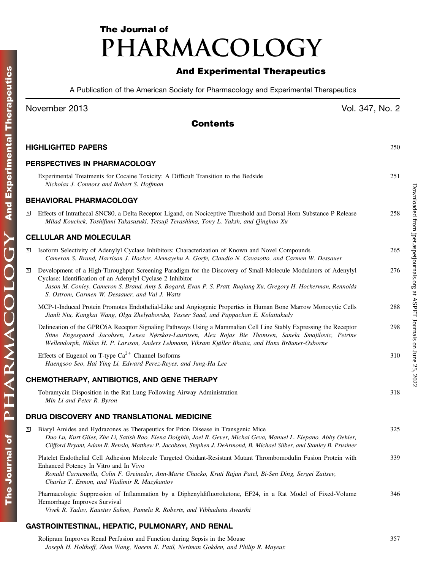# The Journal of PHARMACOLOGY

## And Experimental Therapeutics

A Publication of the American Society for Pharmacology and Experimental Therapeutics

|              | November 2013                                                                                                                                                                                                                                                                                                                                     | Vol. 347, No. 2 |
|--------------|---------------------------------------------------------------------------------------------------------------------------------------------------------------------------------------------------------------------------------------------------------------------------------------------------------------------------------------------------|-----------------|
|              | <b>Contents</b>                                                                                                                                                                                                                                                                                                                                   |                 |
|              | <b>HIGHLIGHTED PAPERS</b>                                                                                                                                                                                                                                                                                                                         | 250             |
|              | PERSPECTIVES IN PHARMACOLOGY                                                                                                                                                                                                                                                                                                                      |                 |
|              | Experimental Treatments for Cocaine Toxicity: A Difficult Transition to the Bedside<br>Nicholas J. Connors and Robert S. Hoffman                                                                                                                                                                                                                  | 251             |
|              | <b>BEHAVIORAL PHARMACOLOGY</b>                                                                                                                                                                                                                                                                                                                    |                 |
| $\mathbf{s}$ | Effects of Intrathecal SNC80, a Delta Receptor Ligand, on Nociceptive Threshold and Dorsal Horn Substance P Release<br>Milad Kouchek, Toshifumi Takasusuki, Tetsuji Terashima, Tony L. Yaksh, and Qinghao Xu                                                                                                                                      | 258             |
|              | <b>CELLULAR AND MOLECULAR</b>                                                                                                                                                                                                                                                                                                                     |                 |
| $\, {\bf S}$ | Isoform Selectivity of Adenylyl Cyclase Inhibitors: Characterization of Known and Novel Compounds<br>Cameron S. Brand, Harrison J. Hocker, Alemayehu A. Gorfe, Claudio N. Cavasotto, and Carmen W. Dessauer                                                                                                                                       | 265             |
| S            | Development of a High-Throughput Screening Paradigm for the Discovery of Small-Molecule Modulators of Adenylyl<br>Cyclase: Identification of an Adenylyl Cyclase 2 Inhibitor<br>Jason M. Conley, Cameron S. Brand, Amy S. Bogard, Evan P. S. Pratt, Ruqiang Xu, Gregory H. Hockerman, Rennolds<br>S. Ostrom, Carmen W. Dessauer, and Val J. Watts | 276             |
|              | MCP-1-Induced Protein Promotes Endothelial-Like and Angiogenic Properties in Human Bone Marrow Monocytic Cells<br>Jianli Niu, Kangkai Wang, Olga Zhelyabovska, Yasser Saad, and Pappachan E. Kolattukudy                                                                                                                                          | 288             |
|              | Delineation of the GPRC6A Receptor Signaling Pathways Using a Mammalian Cell Line Stably Expressing the Receptor<br>Stine Engesgaard Jacobsen, Lenea Nørskov-Lauritsen, Alex Rojas Bie Thomsen, Sanela Smajilovic, Petrine<br>Wellendorph, Niklas H. P. Larsson, Anders Lehmann, Vikram Kjøller Bhatia, and Hans Bräuner-Osborne                  | 298             |
|              | Effects of Eugenol on T-type $Ca^{2+}$ Channel Isoforms<br>Haengsoo Seo, Hai Ying Li, Edward Perez-Reyes, and Jung-Ha Lee                                                                                                                                                                                                                         | 310             |
|              | CHEMOTHERAPY, ANTIBIOTICS, AND GENE THERAPY                                                                                                                                                                                                                                                                                                       |                 |
|              | Tobramycin Disposition in the Rat Lung Following Airway Administration<br>Min Li and Peter R. Byron                                                                                                                                                                                                                                               | 318             |
|              | DRUG DISCOVERY AND TRANSLATIONAL MEDICINE                                                                                                                                                                                                                                                                                                         |                 |
| S            | Biaryl Amides and Hydrazones as Therapeutics for Prion Disease in Transgenic Mice<br>Duo Lu, Kurt Giles, Zhe Li, Satish Rao, Elena Dolghih, Joel R. Gever, Michal Geva, Manuel L. Elepano, Abby Oehler,<br>Clifford Bryant, Adam R. Renslo, Matthew P. Jacobson, Stephen J. DeArmond, B. Michael Silber, and Stanley B. Prusiner                  | 325             |
|              | Platelet Endothelial Cell Adhesion Molecule Targeted Oxidant-Resistant Mutant Thrombomodulin Fusion Protein with<br>Enhanced Potency In Vitro and In Vivo<br>Ronald Carnemolla, Colin F. Greineder, Ann-Marie Chacko, Kruti Rajan Patel, Bi-Sen Ding, Sergei Zaitsev,<br>Charles T. Esmon, and Vladimir R. Muzykantov                             | 339             |

Pharmacologic Suppression of Inflammation by a Diphenyldifluoroketone, EF24, in a Rat Model of Fixed-Volume Hemorrhage Improves Survival 346

Vivek R. Yadav, Kaustuv Sahoo, Pamela R. Roberts, and Vibhudutta Awasthi

### GASTROINTESTINAL, HEPATIC, PULMONARY, AND RENAL

Rolipram Improves Renal Perfusion and Function during Sepsis in the Mouse 357 Joseph H. Holthoff, Zhen Wang, Naeem K. Patil, Neriman Gokden, and Philip R. Mayeux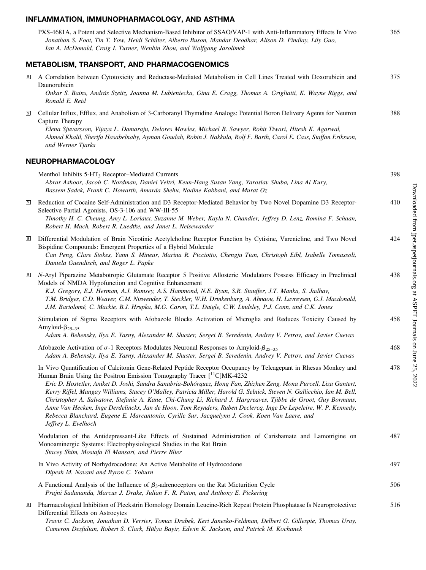#### INFLAMMATION, IMMUNOPHARMACOLOGY, AND ASTHMA

| PXS-4681A, a Potent and Selective Mechanism-Based Inhibitor of SSAO/VAP-1 with Anti-Inflammatory Effects In Vivo | 365 |
|------------------------------------------------------------------------------------------------------------------|-----|
| Jonathan S. Foot, Tin T. Yow, Heidi Schilter, Alberto Buson, Mandar Deodhar, Alison D. Findlay, Lily Guo,        |     |
| Ian A. McDonald, Craig I. Turner, Wenbin Zhou, and Wolfgang Jarolimek                                            |     |

## METABOLISM, TRANSPORT, AND PHARMACOGENOMICS

|              | אסטריים ויירש ויירע וטורע ויירש ויירש                                                                                                                                                                                                                                                                                                                                                                                                                                                                                                                                                                                                                                                                                                                                                                                   |     |
|--------------|-------------------------------------------------------------------------------------------------------------------------------------------------------------------------------------------------------------------------------------------------------------------------------------------------------------------------------------------------------------------------------------------------------------------------------------------------------------------------------------------------------------------------------------------------------------------------------------------------------------------------------------------------------------------------------------------------------------------------------------------------------------------------------------------------------------------------|-----|
| S            | A Correlation between Cytotoxicity and Reductase-Mediated Metabolism in Cell Lines Treated with Doxorubicin and<br>Daunorubicin<br>Onkar S. Bains, András Szeitz, Joanna M. Lubieniecka, Gina E. Cragg, Thomas A. Grigliatti, K. Wayne Riggs, and                                                                                                                                                                                                                                                                                                                                                                                                                                                                                                                                                                       | 375 |
| $\mathbf{s}$ | Ronald E. Reid<br>Cellular Influx, Efflux, and Anabolism of 3-Carboranyl Thymidine Analogs: Potential Boron Delivery Agents for Neutron<br>Capture Therapy                                                                                                                                                                                                                                                                                                                                                                                                                                                                                                                                                                                                                                                              | 388 |
|              | Elena Sjuvarsson, Vijaya L. Damaraju, Delores Mowles, Michael B. Sawyer, Rohit Tiwari, Hitesh K. Agarwal,<br>Ahmed Khalil, Sherifa Hasabelnaby, Ayman Goudah, Robin J. Nakkula, Rolf F. Barth, Carol E. Cass, Staffan Eriksson,<br>and Werner Tjarks                                                                                                                                                                                                                                                                                                                                                                                                                                                                                                                                                                    |     |
|              | <b>NEUROPHARMACOLOGY</b>                                                                                                                                                                                                                                                                                                                                                                                                                                                                                                                                                                                                                                                                                                                                                                                                |     |
|              | Menthol Inhibits 5-HT <sub>3</sub> Receptor–Mediated Currents<br>Abrar Ashoor, Jacob C. Nordman, Daniel Veltri, Keun-Hang Susan Yang, Yaroslav Shuba, Lina Al Kury,<br>Bassem Sadek, Frank C. Howarth, Amarda Shehu, Nadine Kabbani, and Murat Oz                                                                                                                                                                                                                                                                                                                                                                                                                                                                                                                                                                       | 398 |
| $\mathbf{s}$ | Reduction of Cocaine Self-Administration and D3 Receptor-Mediated Behavior by Two Novel Dopamine D3 Receptor-<br>Selective Partial Agonists, OS-3-106 and WW-III-55<br>Timothy H. C. Cheung, Amy L. Loriaux, Suzanne M. Weber, Kayla N. Chandler, Jeffrey D. Lenz, Romina F. Schaan,<br>Robert H. Mach, Robert R. Luedtke, and Janet L. Neisewander                                                                                                                                                                                                                                                                                                                                                                                                                                                                     | 410 |
| $\mathbf{s}$ | Differential Modulation of Brain Nicotinic Acetylcholine Receptor Function by Cytisine, Varenicline, and Two Novel<br>Bispidine Compounds: Emergent Properties of a Hybrid Molecule<br>Can Peng, Clare Stokes, Yann S. Mineur, Marina R. Picciotto, Chengju Tian, Christoph Eibl, Isabelle Tomassoli,<br>Daniela Guendisch, and Roger L. Papke                                                                                                                                                                                                                                                                                                                                                                                                                                                                          | 424 |
| $\mathbf{s}$ | N-Aryl Piperazine Metabotropic Glutamate Receptor 5 Positive Allosteric Modulators Possess Efficacy in Preclinical<br>Models of NMDA Hypofunction and Cognitive Enhancement<br>K.J. Gregory, E.J. Herman, A.J. Ramsey, A.S. Hammond, N.E. Byun, S.R. Stauffer, J.T. Manka, S. Jadhav,<br>T.M. Bridges, C.D. Weaver, C.M. Niswender, T. Steckler, W.H. Drinkenburg, A. Ahnaou, H. Lavreysen, G.J. Macdonald,<br>J.M. Bartolomé, C. Mackie, B.J. Hrupka, M.G. Caron, T.L. Daigle, C.W. Lindsley, P.J. Conn, and C.K. Jones                                                                                                                                                                                                                                                                                                | 438 |
|              | Stimulation of Sigma Receptors with Afobazole Blocks Activation of Microglia and Reduces Toxicity Caused by<br>Amyloid- $\beta_{25-35}$<br>Adam A. Behensky, Ilya E. Yasny, Alexander M. Shuster, Sergei B. Seredenin, Andrey V. Petrov, and Javier Cuevas                                                                                                                                                                                                                                                                                                                                                                                                                                                                                                                                                              | 458 |
|              | Afobazole Activation of $\sigma$ -1 Receptors Modulates Neuronal Responses to Amyloid- $\beta_{25-35}$<br>Adam A. Behensky, Ilya E. Yasny, Alexander M. Shuster, Sergei B. Seredenin, Andrey V. Petrov, and Javier Cuevas                                                                                                                                                                                                                                                                                                                                                                                                                                                                                                                                                                                               | 468 |
|              | In Vivo Quantification of Calcitonin Gene-Related Peptide Receptor Occupancy by Telcagepant in Rhesus Monkey and<br>Human Brain Using the Positron Emission Tomography Tracer $[$ <sup>11</sup> C]MK-4232<br>Eric D. Hostetler, Aniket D. Joshi, Sandra Sanabria-Bohórquez, Hong Fan, Zhizhen Zeng, Mona Purcell, Liza Gantert,<br>Kerry Riffel, Mangay Williams, Stacey O'Malley, Patricia Miller, Harold G. Selnick, Steven N. Gallicchio, Ian M. Bell,<br>Christopher A. Salvatore, Stefanie A. Kane, Chi-Chung Li, Richard J. Hargreaves, Tjibbe de Groot, Guy Bormans,<br>Anne Van Hecken, Inge Derdelinckx, Jan de Hoon, Tom Reynders, Ruben Declercq, Inge De Lepeleire, W. P. Kennedy,<br>Rebecca Blanchard, Eugene E. Marcantonio, Cyrille Sur, Jacquelynn J. Cook, Koen Van Laere, and<br>Jeffrey L. Evelhoch | 478 |
|              | Modulation of the Antidepressant-Like Effects of Sustained Administration of Carisbamate and Lamotrigine on<br>Monoaminergic Systems: Electrophysiological Studies in the Rat Brain<br>Stacey Shim, Mostafa El Mansari, and Pierre Blier                                                                                                                                                                                                                                                                                                                                                                                                                                                                                                                                                                                | 487 |
|              | In Vivo Activity of Norhydrocodone: An Active Metabolite of Hydrocodone<br>Dipesh M. Navani and Byron C. Yoburn                                                                                                                                                                                                                                                                                                                                                                                                                                                                                                                                                                                                                                                                                                         | 497 |
|              | A Functional Analysis of the Influence of $\beta_3$ -adrenoceptors on the Rat Micturition Cycle<br>Prajni Sadananda, Marcus J. Drake, Julian F. R. Paton, and Anthony E. Pickering                                                                                                                                                                                                                                                                                                                                                                                                                                                                                                                                                                                                                                      | 506 |
| <u>is</u>    | Pharmacological Inhibition of Pleckstrin Homology Domain Leucine-Rich Repeat Protein Phosphatase Is Neuroprotective:<br>Differential Effects on Astrocytes<br>Travis C. Jackson, Jonathan D. Verrier, Tomas Drabek, Keri Janesko-Feldman, Delbert G. Gillespie, Thomas Uray,                                                                                                                                                                                                                                                                                                                                                                                                                                                                                                                                            | 516 |

Cameron Dezfulian, Robert S. Clark, Hülya Bayir, Edwin K. Jackson, and Patrick M. Kochanek

Downloaded from jpet.aspetjournals.org at ASPET Journals on June 25, 2022 Downloaded from [jpet.aspetjournals.org](http://jpet.aspetjournals.org/) at ASPET Journals on June 25, 2022